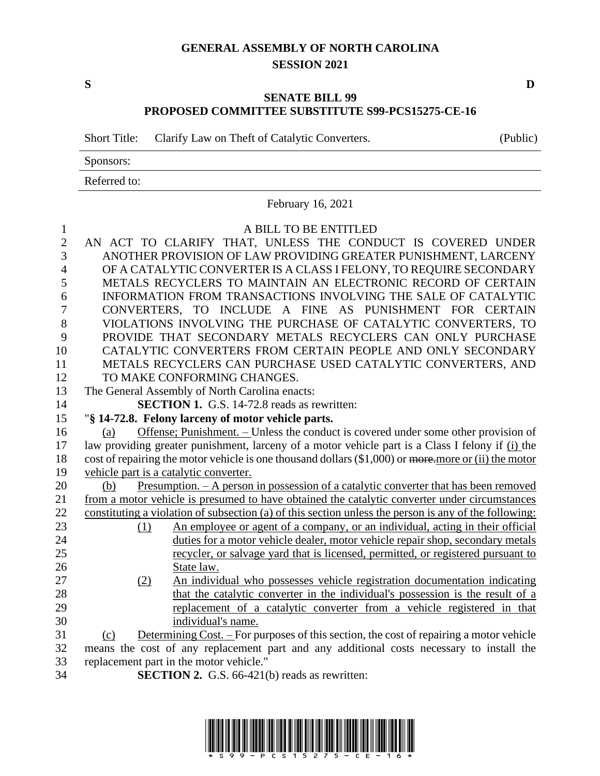## **GENERAL ASSEMBLY OF NORTH CAROLINA SESSION 2021**

## **SENATE BILL 99 PROPOSED COMMITTEE SUBSTITUTE S99-PCS15275-CE-16**

Short Title: Clarify Law on Theft of Catalytic Converters. (Public)

Sponsors:

Referred to:

February 16, 2021 A BILL TO BE ENTITLED AN ACT TO CLARIFY THAT, UNLESS THE CONDUCT IS COVERED UNDER ANOTHER PROVISION OF LAW PROVIDING GREATER PUNISHMENT, LARCENY OF A CATALYTIC CONVERTER IS A CLASS I FELONY, TO REQUIRE SECONDARY METALS RECYCLERS TO MAINTAIN AN ELECTRONIC RECORD OF CERTAIN INFORMATION FROM TRANSACTIONS INVOLVING THE SALE OF CATALYTIC CONVERTERS, TO INCLUDE A FINE AS PUNISHMENT FOR CERTAIN VIOLATIONS INVOLVING THE PURCHASE OF CATALYTIC CONVERTERS, TO PROVIDE THAT SECONDARY METALS RECYCLERS CAN ONLY PURCHASE CATALYTIC CONVERTERS FROM CERTAIN PEOPLE AND ONLY SECONDARY METALS RECYCLERS CAN PURCHASE USED CATALYTIC CONVERTERS, AND TO MAKE CONFORMING CHANGES. The General Assembly of North Carolina enacts: **SECTION 1.** G.S. 14-72.8 reads as rewritten: "**§ 14-72.8. Felony larceny of motor vehicle parts.** (a) Offense; Punishment. – Unless the conduct is covered under some other provision of law providing greater punishment, larceny of a motor vehicle part is a Class I felony if (i) the 18 cost of repairing the motor vehicle is one thousand dollars (\$1,000) or more, more or (ii) the motor vehicle part is a catalytic converter. (b) Presumption. – A person in possession of a catalytic converter that has been removed from a motor vehicle is presumed to have obtained the catalytic converter under circumstances constituting a violation of subsection (a) of this section unless the person is any of the following: (1) An employee or agent of a company, or an individual, acting in their official duties for a motor vehicle dealer, motor vehicle repair shop, secondary metals recycler, or salvage yard that is licensed, permitted, or registered pursuant to State law. (2) An individual who possesses vehicle registration documentation indicating that the catalytic converter in the individual's possession is the result of a replacement of a catalytic converter from a vehicle registered in that individual's name. (c) Determining Cost. – For purposes of this section, the cost of repairing a motor vehicle means the cost of any replacement part and any additional costs necessary to install the replacement part in the motor vehicle." **SECTION 2.** G.S. 66-421(b) reads as rewritten:



**S D**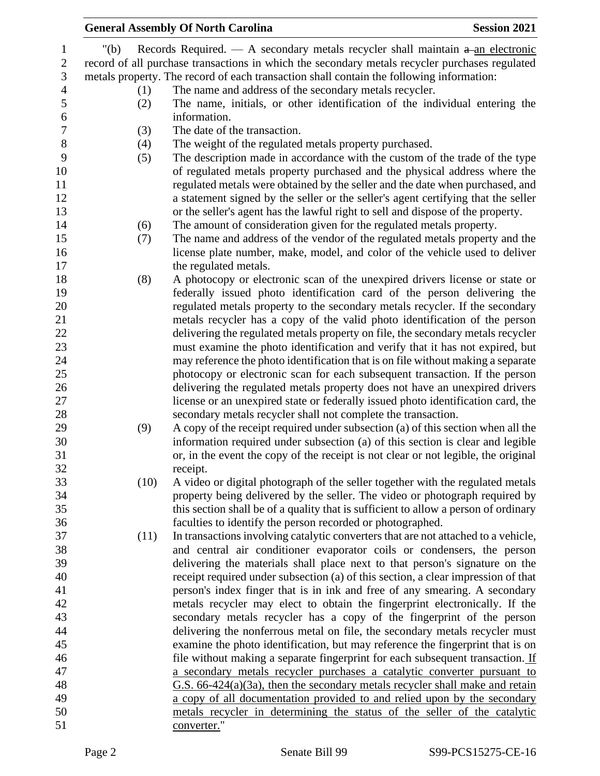|                  |         | <b>General Assembly Of North Carolina</b>                                                      | <b>Session 2021</b> |
|------------------|---------|------------------------------------------------------------------------------------------------|---------------------|
| $\mathbf{1}$     | " $(b)$ | Records Required. — A secondary metals recycler shall maintain $a$ -an electronic              |                     |
| $\mathbf{2}$     |         | record of all purchase transactions in which the secondary metals recycler purchases regulated |                     |
| 3                |         | metals property. The record of each transaction shall contain the following information:       |                     |
| $\overline{4}$   | (1)     | The name and address of the secondary metals recycler.                                         |                     |
| 5                | (2)     | The name, initials, or other identification of the individual entering the                     |                     |
| $\boldsymbol{6}$ |         | information.                                                                                   |                     |
| $\boldsymbol{7}$ | (3)     | The date of the transaction.                                                                   |                     |
| 8                | (4)     | The weight of the regulated metals property purchased.                                         |                     |
| 9                | (5)     | The description made in accordance with the custom of the trade of the type                    |                     |
| 10               |         | of regulated metals property purchased and the physical address where the                      |                     |
| 11               |         | regulated metals were obtained by the seller and the date when purchased, and                  |                     |
| 12               |         | a statement signed by the seller or the seller's agent certifying that the seller              |                     |
| 13               |         | or the seller's agent has the lawful right to sell and dispose of the property.                |                     |
| 14               | (6)     | The amount of consideration given for the regulated metals property.                           |                     |
| 15               | (7)     | The name and address of the vendor of the regulated metals property and the                    |                     |
| 16               |         | license plate number, make, model, and color of the vehicle used to deliver                    |                     |
| 17               |         | the regulated metals.                                                                          |                     |
| 18               | (8)     | A photocopy or electronic scan of the unexpired drivers license or state or                    |                     |
| 19               |         | federally issued photo identification card of the person delivering the                        |                     |
| 20               |         | regulated metals property to the secondary metals recycler. If the secondary                   |                     |
| 21               |         | metals recycler has a copy of the valid photo identification of the person                     |                     |
| 22               |         | delivering the regulated metals property on file, the secondary metals recycler                |                     |
| 23               |         | must examine the photo identification and verify that it has not expired, but                  |                     |
| 24               |         | may reference the photo identification that is on file without making a separate               |                     |
| 25               |         | photocopy or electronic scan for each subsequent transaction. If the person                    |                     |
| 26               |         | delivering the regulated metals property does not have an unexpired drivers                    |                     |
| 27               |         | license or an unexpired state or federally issued photo identification card, the               |                     |
| 28               |         | secondary metals recycler shall not complete the transaction.                                  |                     |
| 29               | (9)     | A copy of the receipt required under subsection (a) of this section when all the               |                     |
| 30               |         | information required under subsection (a) of this section is clear and legible                 |                     |
| 31               |         | or, in the event the copy of the receipt is not clear or not legible, the original             |                     |
| 32               |         | receipt.                                                                                       |                     |
| 33               | (10)    | A video or digital photograph of the seller together with the regulated metals                 |                     |
| 34               |         | property being delivered by the seller. The video or photograph required by                    |                     |
| 35               |         | this section shall be of a quality that is sufficient to allow a person of ordinary            |                     |
| 36               |         | faculties to identify the person recorded or photographed.                                     |                     |
| 37               | (11)    | In transactions involving catalytic converters that are not attached to a vehicle,             |                     |
| 38               |         | and central air conditioner evaporator coils or condensers, the person                         |                     |
| 39               |         | delivering the materials shall place next to that person's signature on the                    |                     |
| 40               |         | receipt required under subsection (a) of this section, a clear impression of that              |                     |
| 41               |         | person's index finger that is in ink and free of any smearing. A secondary                     |                     |
| 42               |         | metals recycler may elect to obtain the fingerprint electronically. If the                     |                     |
| 43               |         | secondary metals recycler has a copy of the fingerprint of the person                          |                     |
| 44               |         | delivering the nonferrous metal on file, the secondary metals recycler must                    |                     |
| 45               |         | examine the photo identification, but may reference the fingerprint that is on                 |                     |
| 46               |         | file without making a separate fingerprint for each subsequent transaction. If                 |                     |
| 47               |         | a secondary metals recycler purchases a catalytic converter pursuant to                        |                     |
| 48               |         | $G.S. 66-424(a)(3a)$ , then the secondary metals recycler shall make and retain                |                     |
| 49               |         | a copy of all documentation provided to and relied upon by the secondary                       |                     |
| 50<br>51         |         | metals recycler in determining the status of the seller of the catalytic<br>converter."        |                     |
|                  |         |                                                                                                |                     |